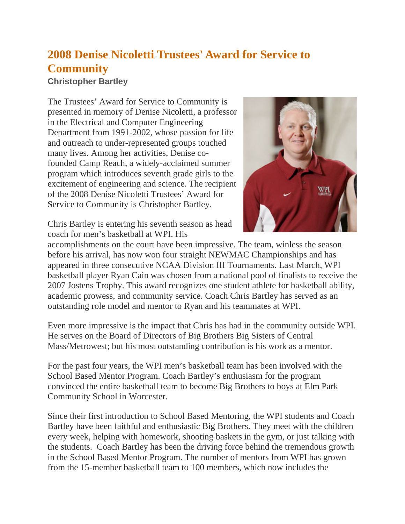## **2008 Denise Nicoletti Trustees' Award for Service to Community**

**Christopher Bartley**

The Trustees' Award for Service to Community is presented in memory of Denise Nicoletti, a professor in the Electrical and Computer Engineering Department from 1991-2002, whose passion for life and outreach to under-represented groups touched many lives. Among her activities, Denise cofounded Camp Reach, a widely-acclaimed summer program which introduces seventh grade girls to the excitement of engineering and science. The recipient of the 2008 Denise Nicoletti Trustees' Award for Service to Community is Christopher Bartley.



Chris Bartley is entering his seventh season as head coach for men's basketball at WPI. His

accomplishments on the court have been impressive. The team, winless the season before his arrival, has now won four straight NEWMAC Championships and has appeared in three consecutive NCAA Division III Tournaments. Last March, WPI basketball player Ryan Cain was chosen from a national pool of finalists to receive the 2007 Jostens Trophy. This award recognizes one student athlete for basketball ability, academic prowess, and community service. Coach Chris Bartley has served as an outstanding role model and mentor to Ryan and his teammates at WPI.

Even more impressive is the impact that Chris has had in the community outside WPI. He serves on the Board of Directors of Big Brothers Big Sisters of Central Mass/Metrowest; but his most outstanding contribution is his work as a mentor.

For the past four years, the WPI men's basketball team has been involved with the School Based Mentor Program. Coach Bartley's enthusiasm for the program convinced the entire basketball team to become Big Brothers to boys at Elm Park Community School in Worcester.

Since their first introduction to School Based Mentoring, the WPI students and Coach Bartley have been faithful and enthusiastic Big Brothers. They meet with the children every week, helping with homework, shooting baskets in the gym, or just talking with the students. Coach Bartley has been the driving force behind the tremendous growth in the School Based Mentor Program. The number of mentors from WPI has grown from the 15-member basketball team to 100 members, which now includes the